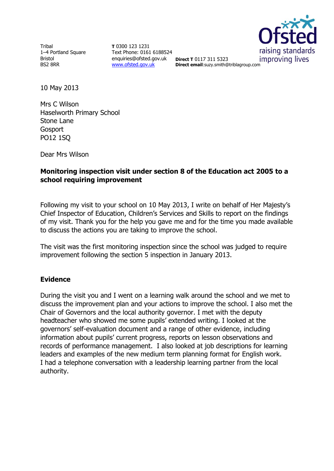Tribal 1–4 Portland Square Bristol BS2 8RR

**T** 0300 123 1231 Text Phone: 0161 6188524 enquiries@ofsted.gov.uk **Direct T** 0117 311 5323 [www.ofsted.gov.uk](http://www.ofsted.gov.uk/)



**Direct email**:suzy.smith@triblagroup.com

10 May 2013

Mrs C Wilson Haselworth Primary School Stone Lane **Gosport** PO12 1SQ

Dear Mrs Wilson

# **Monitoring inspection visit under section 8 of the Education act 2005 to a school requiring improvement**

Following my visit to your school on 10 May 2013, I write on behalf of Her Majesty's Chief Inspector of Education, Children's Services and Skills to report on the findings of my visit. Thank you for the help you gave me and for the time you made available to discuss the actions you are taking to improve the school.

The visit was the first monitoring inspection since the school was judged to require improvement following the section 5 inspection in January 2013.

# **Evidence**

During the visit you and I went on a learning walk around the school and we met to discuss the improvement plan and your actions to improve the school. I also met the Chair of Governors and the local authority governor. I met with the deputy headteacher who showed me some pupils' extended writing. I looked at the governors' self-evaluation document and a range of other evidence, including information about pupils' current progress, reports on lesson observations and records of performance management. I also looked at job descriptions for learning leaders and examples of the new medium term planning format for English work. I had a telephone conversation with a leadership learning partner from the local authority.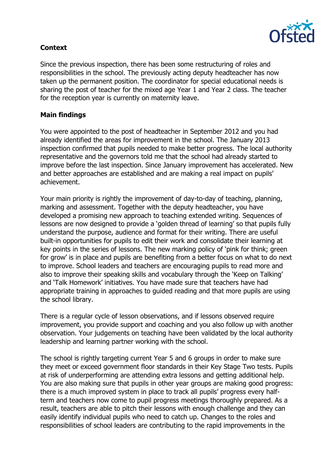

# **Context**

Since the previous inspection, there has been some restructuring of roles and responsibilities in the school. The previously acting deputy headteacher has now taken up the permanent position. The coordinator for special educational needs is sharing the post of teacher for the mixed age Year 1 and Year 2 class. The teacher for the reception year is currently on maternity leave.

# **Main findings**

You were appointed to the post of headteacher in September 2012 and you had already identified the areas for improvement in the school. The January 2013 inspection confirmed that pupils needed to make better progress. The local authority representative and the governors told me that the school had already started to improve before the last inspection. Since January improvement has accelerated. New and better approaches are established and are making a real impact on pupils' achievement.

Your main priority is rightly the improvement of day-to-day of teaching, planning, marking and assessment. Together with the deputy headteacher, you have developed a promising new approach to teaching extended writing. Sequences of lessons are now designed to provide a 'golden thread of learning' so that pupils fully understand the purpose, audience and format for their writing. There are useful built-in opportunities for pupils to edit their work and consolidate their learning at key points in the series of lessons. The new marking policy of 'pink for think; green for grow' is in place and pupils are benefiting from a better focus on what to do next to improve. School leaders and teachers are encouraging pupils to read more and also to improve their speaking skills and vocabulary through the 'Keep on Talking' and 'Talk Homework' initiatives. You have made sure that teachers have had appropriate training in approaches to guided reading and that more pupils are using the school library.

There is a regular cycle of lesson observations, and if lessons observed require improvement, you provide support and coaching and you also follow up with another observation. Your judgements on teaching have been validated by the local authority leadership and learning partner working with the school.

The school is rightly targeting current Year 5 and 6 groups in order to make sure they meet or exceed government floor standards in their Key Stage Two tests. Pupils at risk of underperforming are attending extra lessons and getting additional help. You are also making sure that pupils in other year groups are making good progress: there is a much improved system in place to track all pupils' progress every halfterm and teachers now come to pupil progress meetings thoroughly prepared. As a result, teachers are able to pitch their lessons with enough challenge and they can easily identify individual pupils who need to catch up. Changes to the roles and responsibilities of school leaders are contributing to the rapid improvements in the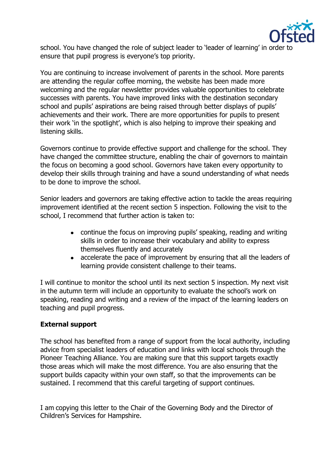

school. You have changed the role of subject leader to 'leader of learning' in order to ensure that pupil progress is everyone's top priority.

You are continuing to increase involvement of parents in the school. More parents are attending the regular coffee morning, the website has been made more welcoming and the regular newsletter provides valuable opportunities to celebrate successes with parents. You have improved links with the destination secondary school and pupils' aspirations are being raised through better displays of pupils' achievements and their work. There are more opportunities for pupils to present their work 'in the spotlight', which is also helping to improve their speaking and listening skills.

Governors continue to provide effective support and challenge for the school. They have changed the committee structure, enabling the chair of governors to maintain the focus on becoming a good school. Governors have taken every opportunity to develop their skills through training and have a sound understanding of what needs to be done to improve the school.

Senior leaders and governors are taking effective action to tackle the areas requiring improvement identified at the recent section 5 inspection. Following the visit to the school, I recommend that further action is taken to:

- continue the focus on improving pupils' speaking, reading and writing skills in order to increase their vocabulary and ability to express themselves fluently and accurately
- accelerate the pace of improvement by ensuring that all the leaders of learning provide consistent challenge to their teams.

I will continue to monitor the school until its next section 5 inspection. My next visit in the autumn term will include an opportunity to evaluate the school's work on speaking, reading and writing and a review of the impact of the learning leaders on teaching and pupil progress.

# **External support**

The school has benefited from a range of support from the local authority, including advice from specialist leaders of education and links with local schools through the Pioneer Teaching Alliance. You are making sure that this support targets exactly those areas which will make the most difference. You are also ensuring that the support builds capacity within your own staff, so that the improvements can be sustained. I recommend that this careful targeting of support continues.

I am copying this letter to the Chair of the Governing Body and the Director of Children's Services for Hampshire.